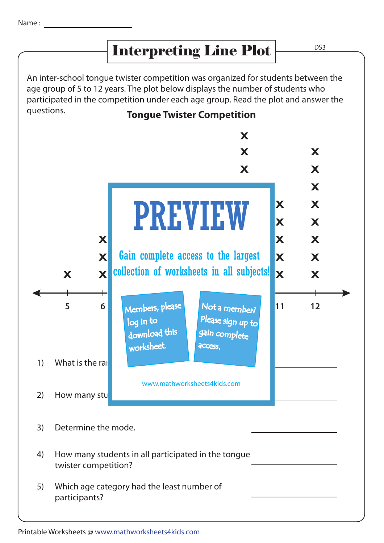## Interpreting Line Plot

An inter-school tongue twister competition was organized for students between the age group of 5 to 12 years. The plot below displays the number of students who participated in the competition under each age group. Read the plot and answer the questions.



Printable Worksheets @ www.mathworksheets4kids.com